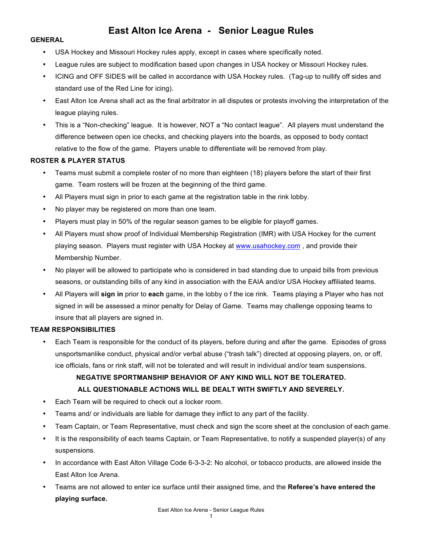# **East Alton Ice Arena - Senior League Rules**

#### **GENERAL**

- USA Hockey and Missouri Hockey rules apply, except in cases where specifically noted.
- League rules are subject to modification based upon changes in USA hockey or Missouri Hockey rules.
- ICING and OFF SIDES will be called in accordance with USA Hockey rules. (Tag-up to nullify off sides and standard use of the Red Line for icing).
- East Alton Ice Arena shall act as the final arbitrator in all disputes or protests involving the interpretation of the league playing rules.
- This is a "Non-checking" league. It is however, NOT a "No contact league". All players must understand the difference between open ice checks, and checking players into the boards, as opposed to body contact relative to the flow of the game. Players unable to differentiate will be removed from play.

### **ROSTER & PLAYER STATUS**

- Teams must submit a complete roster of no more than eighteen (18) players before the start of their first game. Team rosters will be frozen at the beginning of the third game.
- All Players must sign in prior to each game at the registration table in the rink lobby.
- No player may be registered on more than one team.
- Players must play in 50% of the regular season games to be eligible for playoff games.
- All Players must show proof of Individual Membership Registration (IMR) with USA Hockey for the current playing season. Players must register with USA Hockey at www.usahockey.com, and provide their Membership Number.
- No player will be allowed to participate who is considered in bad standing due to unpaid bills from previous seasons, or outstanding bills of any kind in association with the EAIA and/or USA Hockey affiliated teams.
- All Players will **sign in** prior to **each** game, in the lobby o f the ice rink. Teams playing a Player who has not signed in will be assessed a minor penalty for Delay of Game. Teams may challenge opposing teams to insure that all players are signed in.

### **TEAM RESPONSIBILITIES**

• Each Team is responsible for the conduct of its players, before during and after the game. Episodes of gross unsportsmanlike conduct, physical and/or verbal abuse ("trash talk") directed at opposing players, on, or off, ice officials, fans or rink staff, will not be tolerated and will result in individual and/or team suspensions.

# **NEGATIVE SPORTMANSHIP BEHAVIOR OF ANY KIND WILL NOT BE TOLERATED. ALL QUESTIONABLE ACTIONS WILL BE DEALT WITH SWIFTLY AND SEVERELY.**

- Each Team will be required to check out a locker room.
- Teams and/ or individuals are liable for damage they inflict to any part of the facility.
- Team Captain, or Team Representative, must check and sign the score sheet at the conclusion of each game.
- It is the responsibility of each teams Captain, or Team Representative, to notify a suspended player(s) of any suspensions.
- In accordance with East Alton Village Code 6-3-3-2: No alcohol, or tobacco products, are allowed inside the East Alton Ice Arena.
- Teams are not allowed to enter ice surface until their assigned time, and the **Referee's have entered the playing surface.**